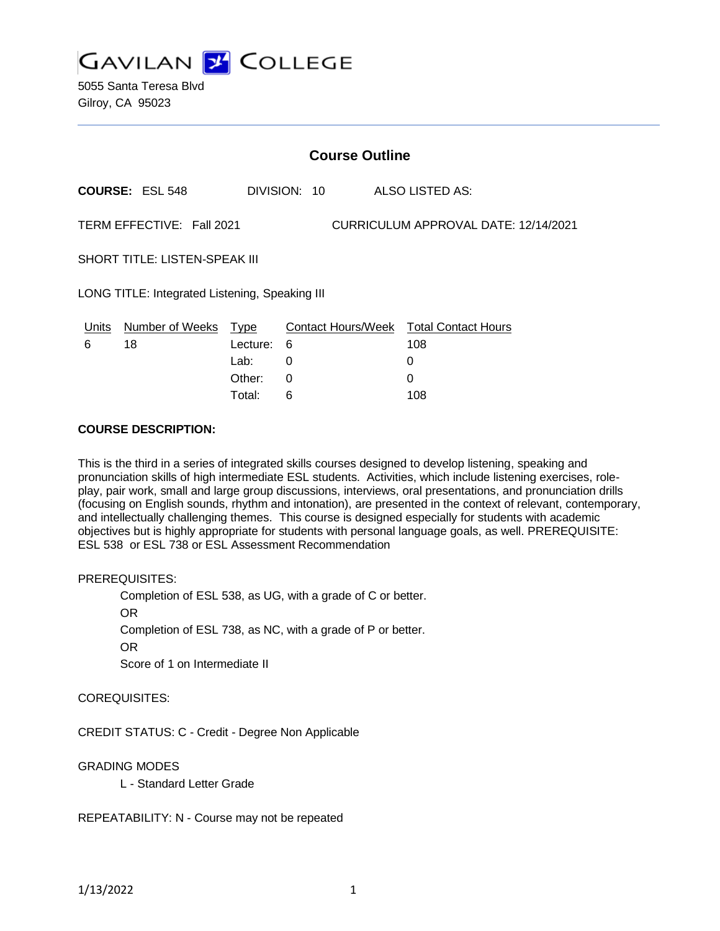

5055 Santa Teresa Blvd Gilroy, CA 95023

| <b>Course Outline</b>                          |                |              |  |                                               |  |
|------------------------------------------------|----------------|--------------|--|-----------------------------------------------|--|
| <b>COURSE: ESL 548</b>                         |                | DIVISION: 10 |  | ALSO LISTED AS:                               |  |
| TERM EFFECTIVE: Fall 2021                      |                |              |  | CURRICULUM APPROVAL DATE: 12/14/2021          |  |
| <b>SHORT TITLE: LISTEN-SPEAK III</b>           |                |              |  |                                               |  |
| LONG TITLE: Integrated Listening, Speaking III |                |              |  |                                               |  |
| Number of Weeks Type<br>Units<br>6<br>18       | Lecture:       | 6            |  | Contact Hours/Week Total Contact Hours<br>108 |  |
|                                                | Lab:<br>Other: | 0<br>0       |  | 0<br>0                                        |  |

Total: 6 108

#### **COURSE DESCRIPTION:**

This is the third in a series of integrated skills courses designed to develop listening, speaking and pronunciation skills of high intermediate ESL students. Activities, which include listening exercises, roleplay, pair work, small and large group discussions, interviews, oral presentations, and pronunciation drills (focusing on English sounds, rhythm and intonation), are presented in the context of relevant, contemporary, and intellectually challenging themes. This course is designed especially for students with academic objectives but is highly appropriate for students with personal language goals, as well. PREREQUISITE: ESL 538 or ESL 738 or ESL Assessment Recommendation

#### PREREQUISITES:

Completion of ESL 538, as UG, with a grade of C or better. OR Completion of ESL 738, as NC, with a grade of P or better. OR Score of 1 on Intermediate II

#### COREQUISITES:

CREDIT STATUS: C - Credit - Degree Non Applicable

## GRADING MODES

L - Standard Letter Grade

REPEATABILITY: N - Course may not be repeated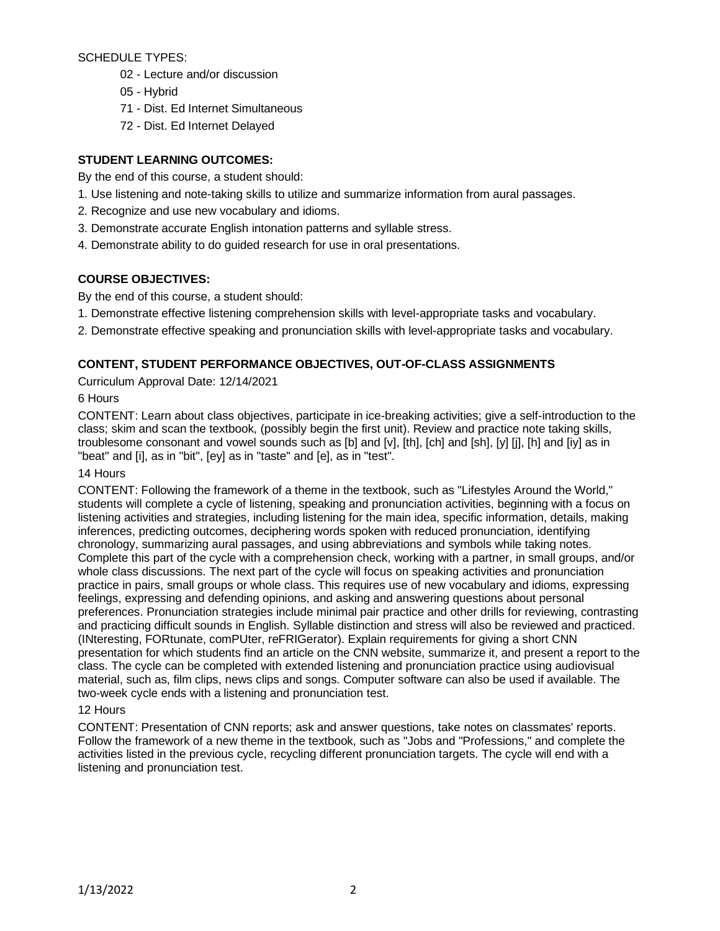SCHEDULE TYPES:

- 02 Lecture and/or discussion
- 05 Hybrid
- 71 Dist. Ed Internet Simultaneous
- 72 Dist. Ed Internet Delayed

# **STUDENT LEARNING OUTCOMES:**

By the end of this course, a student should:

- 1. Use listening and note-taking skills to utilize and summarize information from aural passages.
- 2. Recognize and use new vocabulary and idioms.
- 3. Demonstrate accurate English intonation patterns and syllable stress.
- 4. Demonstrate ability to do guided research for use in oral presentations.

# **COURSE OBJECTIVES:**

By the end of this course, a student should:

- 1. Demonstrate effective listening comprehension skills with level-appropriate tasks and vocabulary.
- 2. Demonstrate effective speaking and pronunciation skills with level-appropriate tasks and vocabulary.

# **CONTENT, STUDENT PERFORMANCE OBJECTIVES, OUT-OF-CLASS ASSIGNMENTS**

Curriculum Approval Date: 12/14/2021

# 6 Hours

CONTENT: Learn about class objectives, participate in ice-breaking activities; give a self-introduction to the class; skim and scan the textbook, (possibly begin the first unit). Review and practice note taking skills, troublesome consonant and vowel sounds such as [b] and [v], [th], [ch] and [sh], [y] [j], [h] and [iy] as in "beat" and [i], as in "bit", [ey] as in "taste" and [e], as in "test".

## 14 Hours

CONTENT: Following the framework of a theme in the textbook, such as "Lifestyles Around the World," students will complete a cycle of listening, speaking and pronunciation activities, beginning with a focus on listening activities and strategies, including listening for the main idea, specific information, details, making inferences, predicting outcomes, deciphering words spoken with reduced pronunciation, identifying chronology, summarizing aural passages, and using abbreviations and symbols while taking notes. Complete this part of the cycle with a comprehension check, working with a partner, in small groups, and/or whole class discussions. The next part of the cycle will focus on speaking activities and pronunciation practice in pairs, small groups or whole class. This requires use of new vocabulary and idioms, expressing feelings, expressing and defending opinions, and asking and answering questions about personal preferences. Pronunciation strategies include minimal pair practice and other drills for reviewing, contrasting and practicing difficult sounds in English. Syllable distinction and stress will also be reviewed and practiced. (INteresting, FORtunate, comPUter, reFRIGerator). Explain requirements for giving a short CNN presentation for which students find an article on the CNN website, summarize it, and present a report to the class. The cycle can be completed with extended listening and pronunciation practice using audiovisual material, such as, film clips, news clips and songs. Computer software can also be used if available. The two-week cycle ends with a listening and pronunciation test.

## 12 Hours

CONTENT: Presentation of CNN reports; ask and answer questions, take notes on classmates' reports. Follow the framework of a new theme in the textbook, such as "Jobs and "Professions," and complete the activities listed in the previous cycle, recycling different pronunciation targets. The cycle will end with a listening and pronunciation test.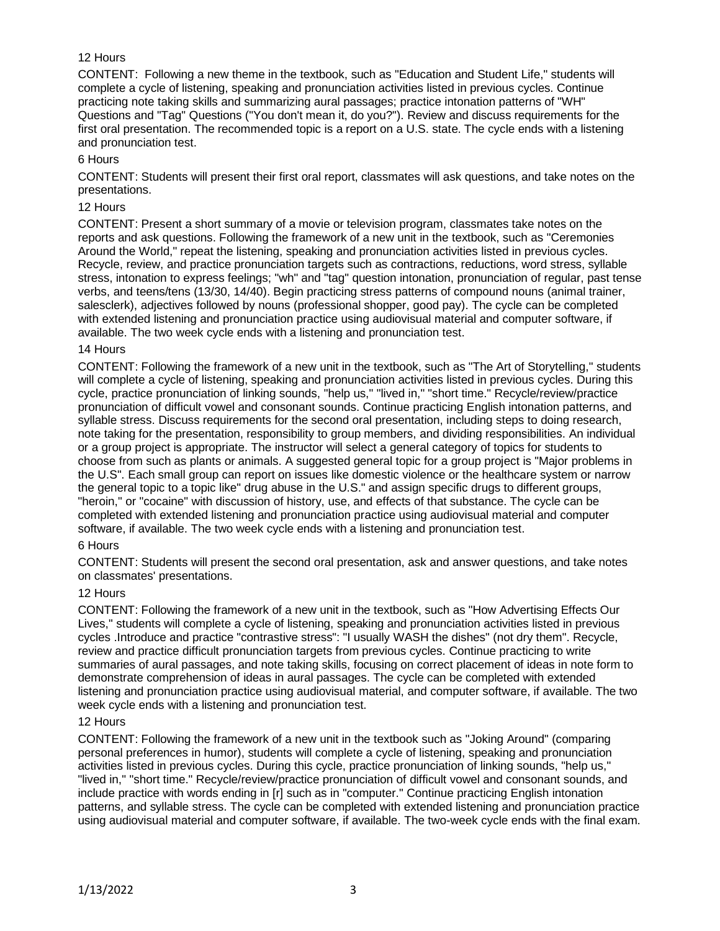# 12 Hours

CONTENT: Following a new theme in the textbook, such as "Education and Student Life," students will complete a cycle of listening, speaking and pronunciation activities listed in previous cycles. Continue practicing note taking skills and summarizing aural passages; practice intonation patterns of "WH" Questions and "Tag" Questions ("You don't mean it, do you?"). Review and discuss requirements for the first oral presentation. The recommended topic is a report on a U.S. state. The cycle ends with a listening and pronunciation test.

#### 6 Hours

CONTENT: Students will present their first oral report, classmates will ask questions, and take notes on the presentations.

#### 12 Hours

CONTENT: Present a short summary of a movie or television program, classmates take notes on the reports and ask questions. Following the framework of a new unit in the textbook, such as "Ceremonies Around the World," repeat the listening, speaking and pronunciation activities listed in previous cycles. Recycle, review, and practice pronunciation targets such as contractions, reductions, word stress, syllable stress, intonation to express feelings; "wh" and "tag" question intonation, pronunciation of regular, past tense verbs, and teens/tens (13/30, 14/40). Begin practicing stress patterns of compound nouns (animal trainer, salesclerk), adjectives followed by nouns (professional shopper, good pay). The cycle can be completed with extended listening and pronunciation practice using audiovisual material and computer software, if available. The two week cycle ends with a listening and pronunciation test.

#### 14 Hours

CONTENT: Following the framework of a new unit in the textbook, such as "The Art of Storytelling," students will complete a cycle of listening, speaking and pronunciation activities listed in previous cycles. During this cycle, practice pronunciation of linking sounds, "help us," "lived in," "short time." Recycle/review/practice pronunciation of difficult vowel and consonant sounds. Continue practicing English intonation patterns, and syllable stress. Discuss requirements for the second oral presentation, including steps to doing research, note taking for the presentation, responsibility to group members, and dividing responsibilities. An individual or a group project is appropriate. The instructor will select a general category of topics for students to choose from such as plants or animals. A suggested general topic for a group project is "Major problems in the U.S". Each small group can report on issues like domestic violence or the healthcare system or narrow the general topic to a topic like" drug abuse in the U.S." and assign specific drugs to different groups, "heroin," or "cocaine" with discussion of history, use, and effects of that substance. The cycle can be completed with extended listening and pronunciation practice using audiovisual material and computer software, if available. The two week cycle ends with a listening and pronunciation test.

## 6 Hours

CONTENT: Students will present the second oral presentation, ask and answer questions, and take notes on classmates' presentations.

#### 12 Hours

CONTENT: Following the framework of a new unit in the textbook, such as "How Advertising Effects Our Lives," students will complete a cycle of listening, speaking and pronunciation activities listed in previous cycles .Introduce and practice "contrastive stress": "I usually WASH the dishes" (not dry them". Recycle, review and practice difficult pronunciation targets from previous cycles. Continue practicing to write summaries of aural passages, and note taking skills, focusing on correct placement of ideas in note form to demonstrate comprehension of ideas in aural passages. The cycle can be completed with extended listening and pronunciation practice using audiovisual material, and computer software, if available. The two week cycle ends with a listening and pronunciation test.

#### 12 Hours

CONTENT: Following the framework of a new unit in the textbook such as "Joking Around" (comparing personal preferences in humor), students will complete a cycle of listening, speaking and pronunciation activities listed in previous cycles. During this cycle, practice pronunciation of linking sounds, "help us," "lived in," "short time." Recycle/review/practice pronunciation of difficult vowel and consonant sounds, and include practice with words ending in [r] such as in "computer." Continue practicing English intonation patterns, and syllable stress. The cycle can be completed with extended listening and pronunciation practice using audiovisual material and computer software, if available. The two-week cycle ends with the final exam.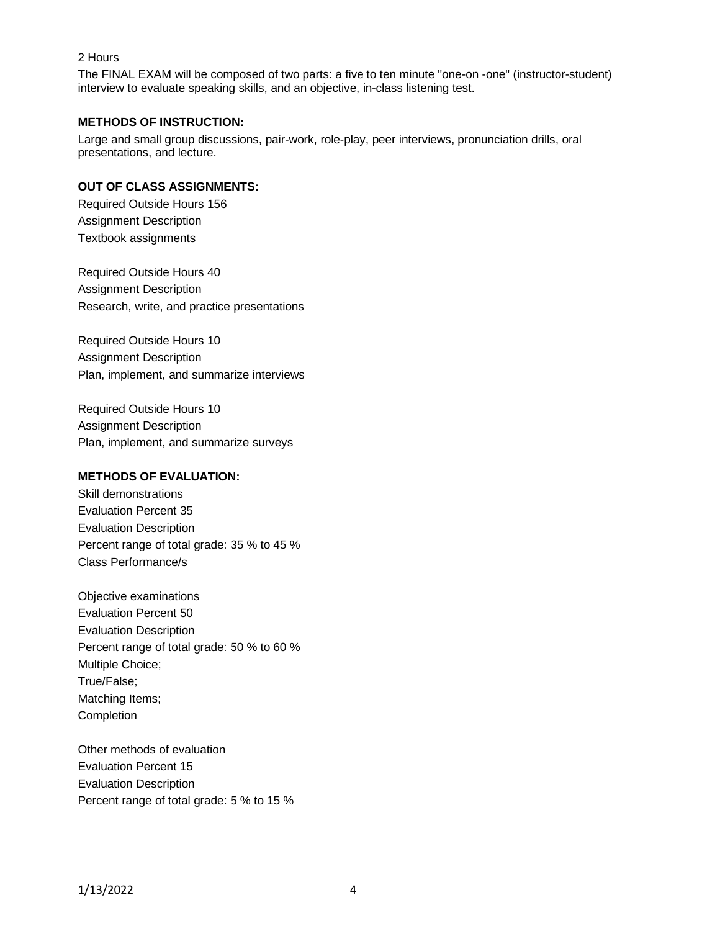# 2 Hours

The FINAL EXAM will be composed of two parts: a five to ten minute "one-on -one" (instructor-student) interview to evaluate speaking skills, and an objective, in-class listening test.

#### **METHODS OF INSTRUCTION:**

Large and small group discussions, pair-work, role-play, peer interviews, pronunciation drills, oral presentations, and lecture.

# **OUT OF CLASS ASSIGNMENTS:**

Required Outside Hours 156 Assignment Description Textbook assignments

Required Outside Hours 40 Assignment Description Research, write, and practice presentations

Required Outside Hours 10 Assignment Description Plan, implement, and summarize interviews

Required Outside Hours 10 Assignment Description Plan, implement, and summarize surveys

## **METHODS OF EVALUATION:**

Skill demonstrations Evaluation Percent 35 Evaluation Description Percent range of total grade: 35 % to 45 % Class Performance/s

Objective examinations Evaluation Percent 50 Evaluation Description Percent range of total grade: 50 % to 60 % Multiple Choice; True/False; Matching Items; Completion

Other methods of evaluation Evaluation Percent 15 Evaluation Description Percent range of total grade: 5 % to 15 %